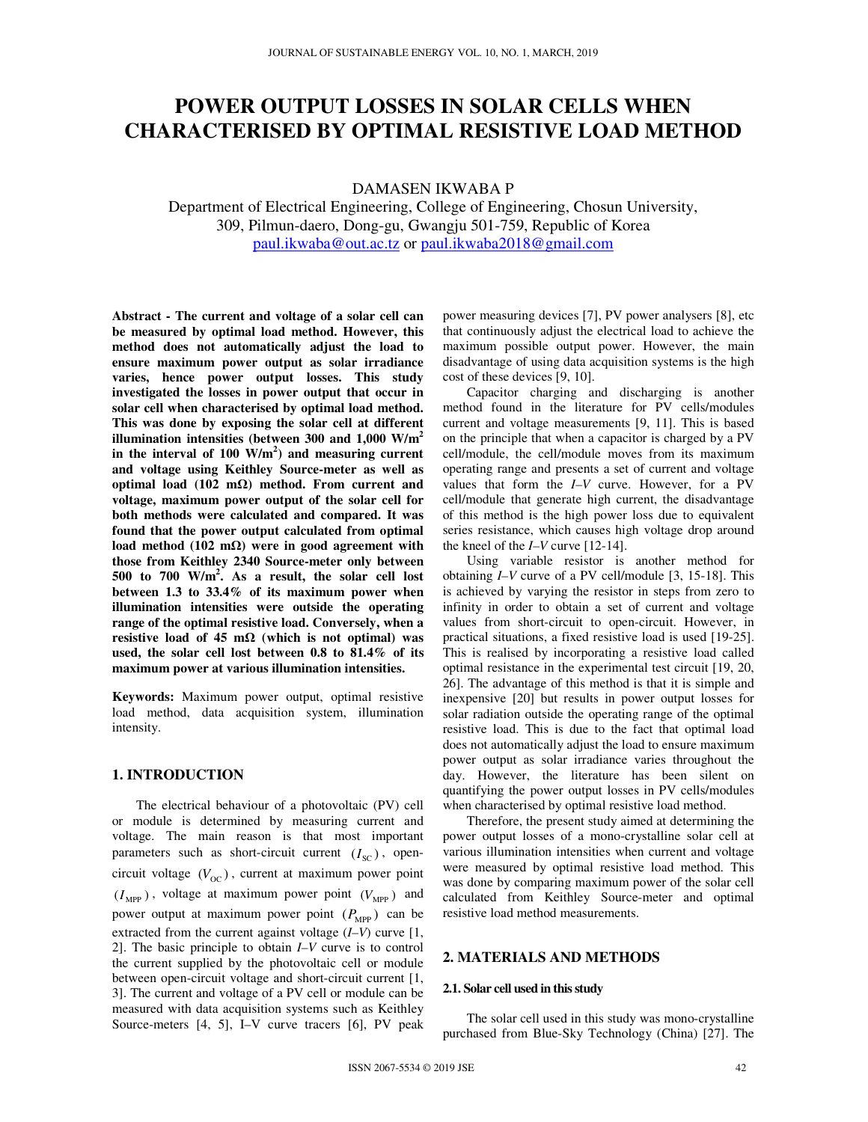# **POWER OUTPUT LOSSES IN SOLAR CELLS WHEN CHARACTERISED BY OPTIMAL RESISTIVE LOAD METHOD**

DAMASEN IKWABA P

Department of Electrical Engineering, College of Engineering, Chosun University, 309, Pilmun-daero, Dong-gu, Gwangju 501-759, Republic of Korea paul.ikwaba@out.ac.tz or paul.ikwaba2018@gmail.com

**Abstract - The current and voltage of a solar cell can be measured by optimal load method. However, this method does not automatically adjust the load to ensure maximum power output as solar irradiance varies, hence power output losses. This study investigated the losses in power output that occur in solar cell when characterised by optimal load method. This was done by exposing the solar cell at different illumination intensities (between 300 and 1,000 W/m<sup>2</sup> in the interval of 100 W/m<sup>2</sup> ) and measuring current and voltage using Keithley Source-meter as well as optimal load (102 m**Ω**) method. From current and voltage, maximum power output of the solar cell for both methods were calculated and compared. It was found that the power output calculated from optimal load method (102 m**Ω**) were in good agreement with those from Keithley 2340 Source-meter only between 500 to 700 W/m<sup>2</sup> . As a result, the solar cell lost between 1.3 to 33.4% of its maximum power when illumination intensities were outside the operating range of the optimal resistive load. Conversely, when a resistive load of 45 m**Ω **(which is not optimal) was used, the solar cell lost between 0.8 to 81.4% of its maximum power at various illumination intensities.** 

**Keywords:** Maximum power output, optimal resistive load method, data acquisition system, illumination intensity.

# **1. INTRODUCTION**

The electrical behaviour of a photovoltaic (PV) cell or module is determined by measuring current and voltage. The main reason is that most important parameters such as short-circuit current  $(I_{\text{sc}})$ , opencircuit voltage  $(V_{\text{oc}})$ , current at maximum power point  $(I<sub>MPP</sub>)$ , voltage at maximum power point  $(V<sub>MPP</sub>)$  and power output at maximum power point  $(P_{\text{MPP}})$  can be extracted from the current against voltage (*I–V*) curve [1, 2]. The basic principle to obtain *I–V* curve is to control the current supplied by the photovoltaic cell or module between open-circuit voltage and short-circuit current [1, 3]. The current and voltage of a PV cell or module can be measured with data acquisition systems such as Keithley Source-meters [4, 5], I–V curve tracers [6], PV peak power measuring devices [7], PV power analysers [8], etc that continuously adjust the electrical load to achieve the maximum possible output power. However, the main disadvantage of using data acquisition systems is the high cost of these devices [9, 10].

Capacitor charging and discharging is another method found in the literature for PV cells/modules current and voltage measurements [9, 11]. This is based on the principle that when a capacitor is charged by a PV cell/module, the cell/module moves from its maximum operating range and presents a set of current and voltage values that form the *I–V* curve. However, for a PV cell/module that generate high current, the disadvantage of this method is the high power loss due to equivalent series resistance, which causes high voltage drop around the kneel of the *I–V* curve [12-14].

Using variable resistor is another method for obtaining *I–V* curve of a PV cell/module [3, 15-18]. This is achieved by varying the resistor in steps from zero to infinity in order to obtain a set of current and voltage values from short-circuit to open-circuit. However, in practical situations, a fixed resistive load is used [19-25]. This is realised by incorporating a resistive load called optimal resistance in the experimental test circuit [19, 20, 26]. The advantage of this method is that it is simple and inexpensive [20] but results in power output losses for solar radiation outside the operating range of the optimal resistive load. This is due to the fact that optimal load does not automatically adjust the load to ensure maximum power output as solar irradiance varies throughout the day. However, the literature has been silent on quantifying the power output losses in PV cells/modules when characterised by optimal resistive load method.

Therefore, the present study aimed at determining the power output losses of a mono-crystalline solar cell at various illumination intensities when current and voltage were measured by optimal resistive load method. This was done by comparing maximum power of the solar cell calculated from Keithley Source-meter and optimal resistive load method measurements.

## **2. MATERIALS AND METHODS**

#### **2.1. Solar cell used in this study**

The solar cell used in this study was mono-crystalline purchased from Blue-Sky Technology (China) [27]. The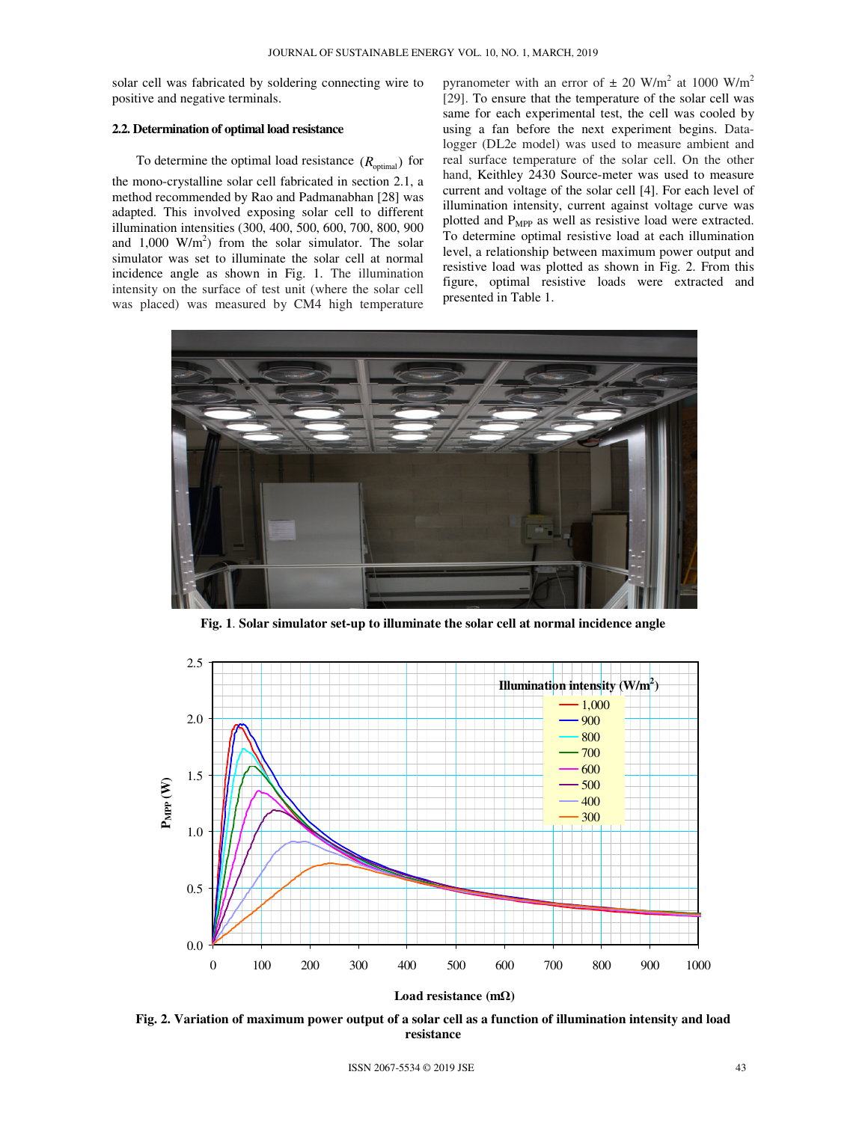solar cell was fabricated by soldering connecting wire to positive and negative terminals.

#### **2.2. Determination of optimal load resistance**

To determine the optimal load resistance  $(R_{optimal})$  for the mono-crystalline solar cell fabricated in section 2.1, a method recommended by Rao and Padmanabhan [28] was adapted. This involved exposing solar cell to different illumination intensities (300, 400, 500, 600, 700, 800, 900 and  $1,000 \text{ W/m}^2$  from the solar simulator. The solar simulator was set to illuminate the solar cell at normal incidence angle as shown in Fig. 1. The illumination intensity on the surface of test unit (where the solar cell was placed) was measured by CM4 high temperature

pyranometer with an error of  $\pm 20$  W/m<sup>2</sup> at 1000 W/m<sup>2</sup> [29]. To ensure that the temperature of the solar cell was same for each experimental test, the cell was cooled by using a fan before the next experiment begins. Datalogger (DL2e model) was used to measure ambient and real surface temperature of the solar cell. On the other hand, Keithley 2430 Source-meter was used to measure current and voltage of the solar cell [4]. For each level of illumination intensity, current against voltage curve was plotted and P<sub>MPP</sub> as well as resistive load were extracted. To determine optimal resistive load at each illumination level, a relationship between maximum power output and resistive load was plotted as shown in Fig. 2. From this figure, optimal resistive loads were extracted and presented in Table 1.



**Fig. 1**. **Solar simulator set-up to illuminate the solar cell at normal incidence angle** 



**Fig. 2. Variation of maximum power output of a solar cell as a function of illumination intensity and load resistance**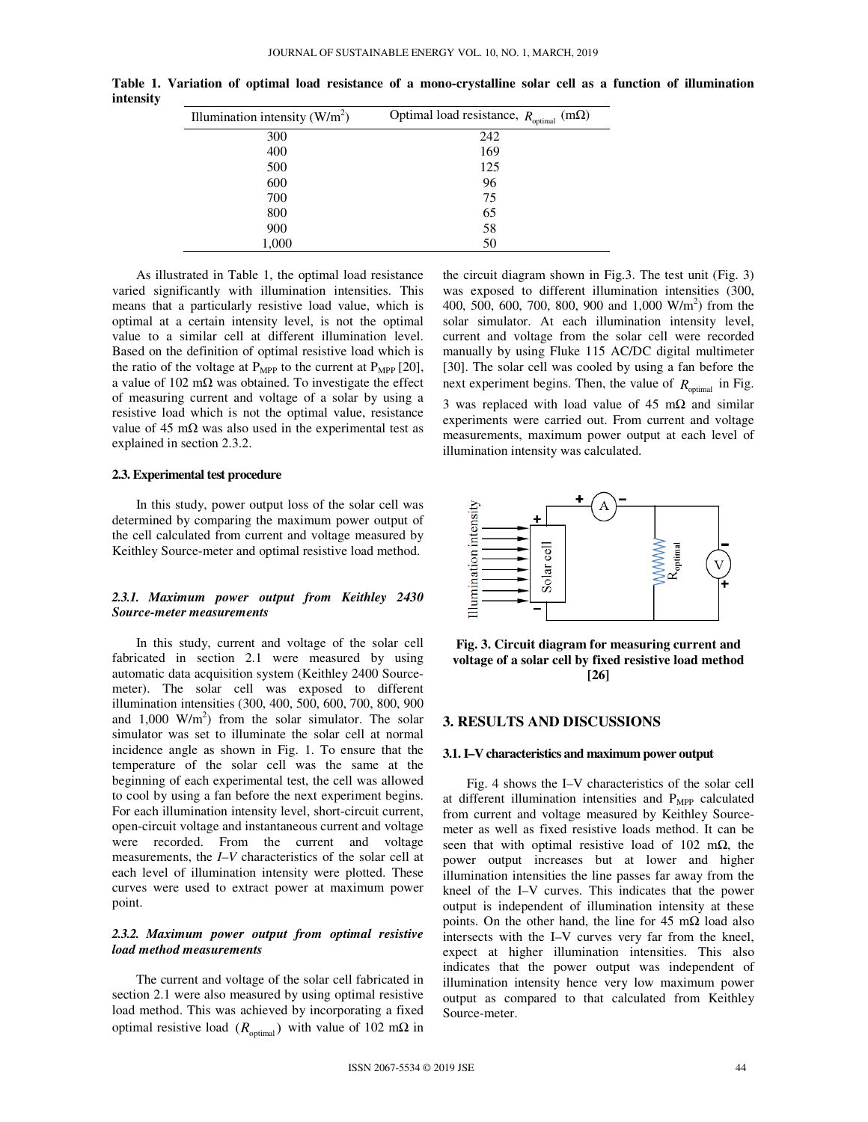| Illumination intensity $(W/m^2)$ | Optimal load resistance, $R_{optimal}$<br>$(m\Omega)$ |
|----------------------------------|-------------------------------------------------------|
| 300                              | 242                                                   |
| 400                              | 169                                                   |
| 500                              | 125                                                   |
| 600                              | 96                                                    |
| 700                              | 75                                                    |
| 800                              | 65                                                    |
| 900                              | 58                                                    |
| 1,000                            | 50                                                    |

**Table 1. Variation of optimal load resistance of a mono-crystalline solar cell as a function of illumination intensity** 

As illustrated in Table 1, the optimal load resistance varied significantly with illumination intensities. This means that a particularly resistive load value, which is optimal at a certain intensity level, is not the optimal value to a similar cell at different illumination level. Based on the definition of optimal resistive load which is the ratio of the voltage at  $P_{MPP}$  to the current at  $P_{MPP}$  [20], a value of 102 m $\Omega$  was obtained. To investigate the effect of measuring current and voltage of a solar by using a resistive load which is not the optimal value, resistance value of 45 m $\Omega$  was also used in the experimental test as explained in section 2.3.2.

### **2.3. Experimental test procedure**

In this study, power output loss of the solar cell was determined by comparing the maximum power output of the cell calculated from current and voltage measured by Keithley Source-meter and optimal resistive load method.

## *2.3.1. Maximum power output from Keithley 2430 Source-meter measurements*

In this study, current and voltage of the solar cell fabricated in section 2.1 were measured by using automatic data acquisition system (Keithley 2400 Sourcemeter). The solar cell was exposed to different illumination intensities (300, 400, 500, 600, 700, 800, 900 and  $1,000 \text{ W/m}^2$  from the solar simulator. The solar simulator was set to illuminate the solar cell at normal incidence angle as shown in Fig. 1. To ensure that the temperature of the solar cell was the same at the beginning of each experimental test, the cell was allowed to cool by using a fan before the next experiment begins. For each illumination intensity level, short-circuit current, open-circuit voltage and instantaneous current and voltage were recorded. From the current and voltage measurements, the *I–V* characteristics of the solar cell at each level of illumination intensity were plotted. These curves were used to extract power at maximum power point.

#### *2.3.2. Maximum power output from optimal resistive load method measurements*

The current and voltage of the solar cell fabricated in section 2.1 were also measured by using optimal resistive load method. This was achieved by incorporating a fixed optimal resistive load ( $R_{\text{optimal}}$ ) with value of 102 mΩ in

the circuit diagram shown in Fig.3. The test unit (Fig. 3) was exposed to different illumination intensities (300, 400, 500, 600, 700, 800, 900 and 1,000 W/m<sup>2</sup> ) from the solar simulator. At each illumination intensity level, current and voltage from the solar cell were recorded manually by using Fluke 115 AC/DC digital multimeter [30]. The solar cell was cooled by using a fan before the next experiment begins. Then, the value of  $R_{\text{optimal}}$  in Fig. 3 was replaced with load value of 45 mΩ and similar

experiments were carried out. From current and voltage measurements, maximum power output at each level of illumination intensity was calculated.





#### **3. RESULTS AND DISCUSSIONS**

#### **3.1. I–V characteristics and maximum power output**

Fig. 4 shows the I–V characteristics of the solar cell at different illumination intensities and  $P_{MPP}$  calculated from current and voltage measured by Keithley Sourcemeter as well as fixed resistive loads method. It can be seen that with optimal resistive load of 102 m $\Omega$ , the power output increases but at lower and higher illumination intensities the line passes far away from the kneel of the I–V curves. This indicates that the power output is independent of illumination intensity at these points. On the other hand, the line for 45 m $\Omega$  load also intersects with the I–V curves very far from the kneel, expect at higher illumination intensities. This also indicates that the power output was independent of illumination intensity hence very low maximum power output as compared to that calculated from Keithley Source-meter.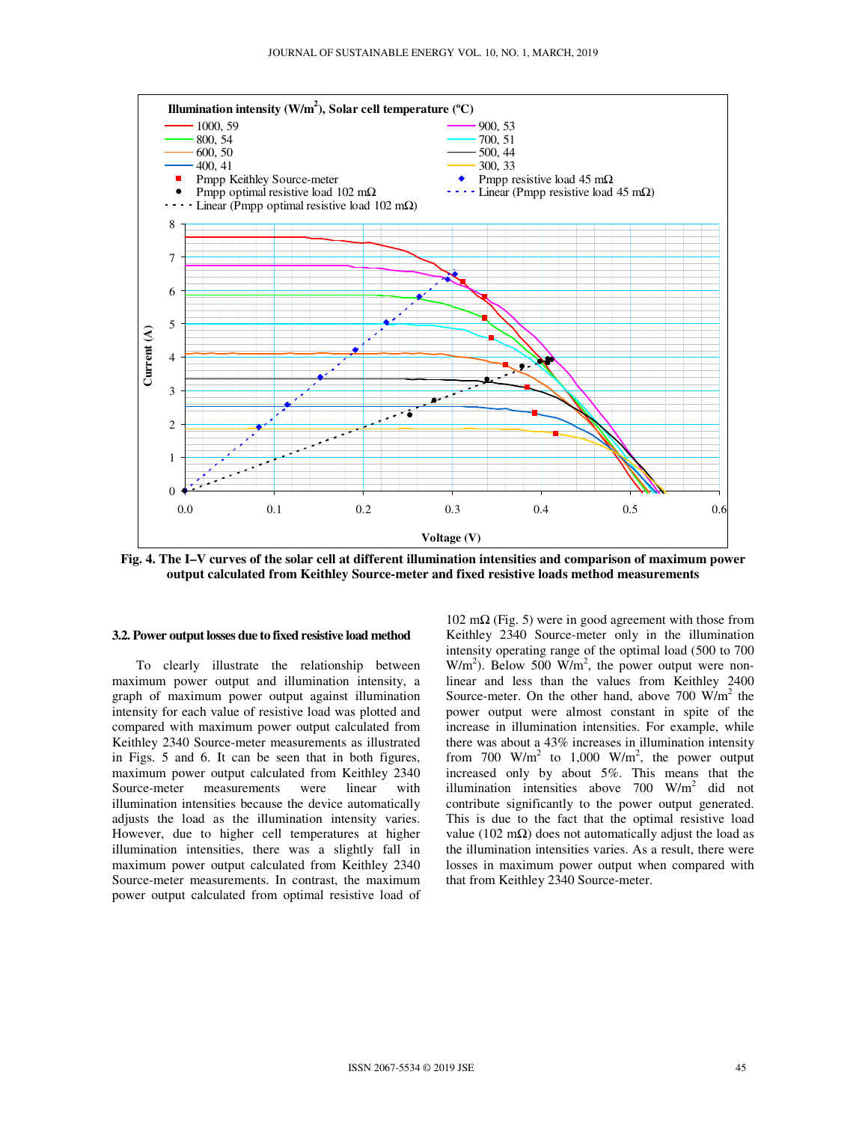

**Fig. 4. The I–V curves of the solar cell at different illumination intensities and comparison of maximum power output calculated from Keithley Source-meter and fixed resistive loads method measurements** 

#### **3.2. Power output losses due to fixed resistive load method**

To clearly illustrate the relationship between maximum power output and illumination intensity, a graph of maximum power output against illumination intensity for each value of resistive load was plotted and compared with maximum power output calculated from Keithley 2340 Source-meter measurements as illustrated in Figs. 5 and 6. It can be seen that in both figures, maximum power output calculated from Keithley 2340 Source-meter measurements were linear with illumination intensities because the device automatically adjusts the load as the illumination intensity varies. However, due to higher cell temperatures at higher illumination intensities, there was a slightly fall in maximum power output calculated from Keithley 2340 Source-meter measurements. In contrast, the maximum power output calculated from optimal resistive load of

 $102 \text{ m}\Omega$  (Fig. 5) were in good agreement with those from Keithley 2340 Source-meter only in the illumination intensity operating range of the optimal load (500 to 700  $W/m<sup>2</sup>$ ). Below 500 W/m<sup>2</sup>, the power output were nonlinear and less than the values from Keithley 2400 Source-meter. On the other hand, above  $700 \text{ W/m}^2$  the power output were almost constant in spite of the increase in illumination intensities. For example, while there was about a 43% increases in illumination intensity from 700 W/m<sup>2</sup> to 1,000 W/m<sup>2</sup>, the power output increased only by about 5%. This means that the illumination intensities above  $700 \, \text{W/m}^2$  did not contribute significantly to the power output generated. This is due to the fact that the optimal resistive load value (102 m $\Omega$ ) does not automatically adjust the load as the illumination intensities varies. As a result, there were losses in maximum power output when compared with that from Keithley 2340 Source-meter.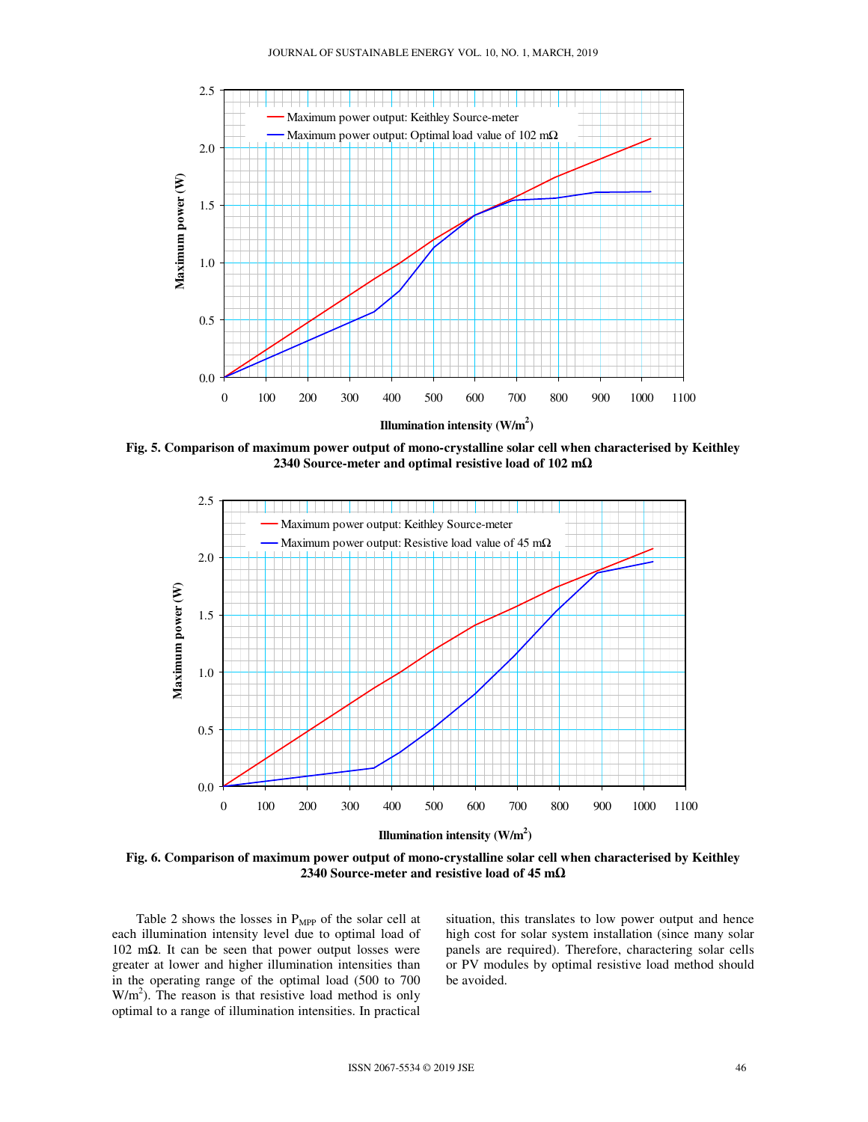

**Fig. 5. Comparison of maximum power output of mono-crystalline solar cell when characterised by Keithley 2340 Source-meter and optimal resistive load of 102 m**Ω



**Fig. 6. Comparison of maximum power output of mono-crystalline solar cell when characterised by Keithley 2340 Source-meter and resistive load of 45 m**Ω

Table 2 shows the losses in  $P_{MPP}$  of the solar cell at each illumination intensity level due to optimal load of 102 mΩ. It can be seen that power output losses were greater at lower and higher illumination intensities than in the operating range of the optimal load (500 to 700  $W/m<sup>2</sup>$ ). The reason is that resistive load method is only optimal to a range of illumination intensities. In practical situation, this translates to low power output and hence high cost for solar system installation (since many solar panels are required). Therefore, charactering solar cells or PV modules by optimal resistive load method should be avoided.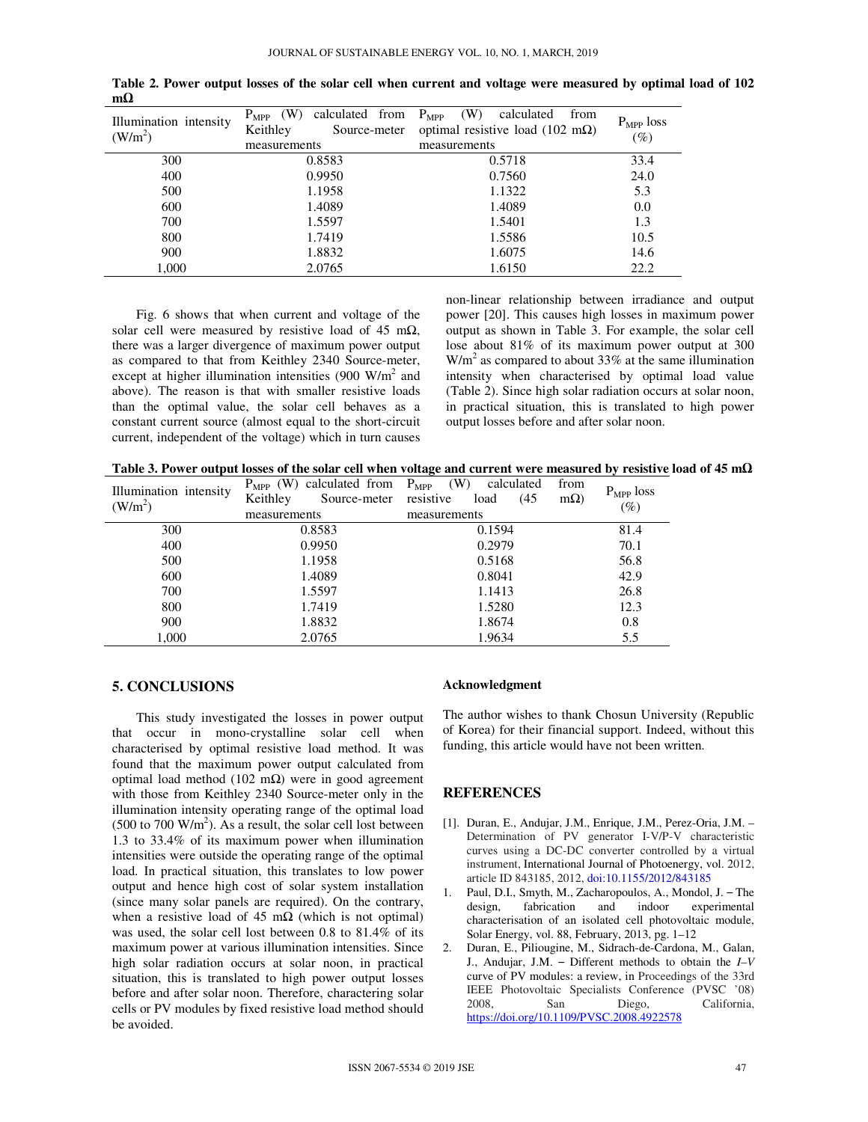| Illumination intensity<br>(W/m <sup>2</sup> ) | calculated from $P_{MPP}$<br>(W)<br>$P_{MPP}$<br>Keithley<br>Source-meter<br>measurements | (W)<br>calculated<br>from<br>optimal resistive load (102 m $\Omega$ )<br>measurements | $P_{MPP}$ loss<br>$(\%)$ |
|-----------------------------------------------|-------------------------------------------------------------------------------------------|---------------------------------------------------------------------------------------|--------------------------|
| 300                                           | 0.8583                                                                                    | 0.5718                                                                                | 33.4                     |
| 400                                           | 0.9950                                                                                    | 0.7560                                                                                | 24.0                     |
| 500                                           | 1.1958                                                                                    | 1.1322                                                                                | 5.3                      |
| 600                                           | 1.4089                                                                                    | 1.4089                                                                                | 0.0                      |
| 700                                           | 1.5597                                                                                    | 1.5401                                                                                | 1.3                      |
| 800                                           | 1.7419                                                                                    | 1.5586                                                                                | 10.5                     |
| 900                                           | 1.8832                                                                                    | 1.6075                                                                                | 14.6                     |
| 1,000                                         | 2.0765                                                                                    | 1.6150                                                                                | 22.2                     |

**Table 2. Power output losses of the solar cell when current and voltage were measured by optimal load of 102 m**Ω

Fig. 6 shows that when current and voltage of the solar cell were measured by resistive load of 45 m $\Omega$ , there was a larger divergence of maximum power output as compared to that from Keithley 2340 Source-meter, except at higher illumination intensities  $(900 \text{ W/m}^2 \text{ and }$ above). The reason is that with smaller resistive loads than the optimal value, the solar cell behaves as a constant current source (almost equal to the short-circuit current, independent of the voltage) which in turn causes

non-linear relationship between irradiance and output power [20]. This causes high losses in maximum power output as shown in Table 3. For example, the solar cell lose about 81% of its maximum power output at 300  $W/m<sup>2</sup>$  as compared to about 33% at the same illumination intensity when characterised by optimal load value (Table 2). Since high solar radiation occurs at solar noon, in practical situation, this is translated to high power output losses before and after solar noon.

|  | Table 3. Power output losses of the solar cell when voltage and current were measured by resistive load of 45 m $\Omega$ |  |
|--|--------------------------------------------------------------------------------------------------------------------------|--|
|  |                                                                                                                          |  |

| Illumination intensity<br>(W/m <sup>2</sup> ) | $P_{MPP}$ (W) calculated from $P_{MPP}$ (W) calculated<br>Keithley<br>Source-meter resistive<br>measurements | (45)<br>load<br>measurements | from<br>$P_{MPP}$ loss<br>$m\Omega$<br>$(\%)$ |
|-----------------------------------------------|--------------------------------------------------------------------------------------------------------------|------------------------------|-----------------------------------------------|
| 300                                           | 0.8583                                                                                                       | 0.1594                       | 81.4                                          |
| 400                                           | 0.9950                                                                                                       | 0.2979                       | 70.1                                          |
| 500                                           | 1.1958                                                                                                       | 0.5168                       | 56.8                                          |
| 600                                           | 1.4089                                                                                                       | 0.8041                       | 42.9                                          |
| 700                                           | 1.5597                                                                                                       | 1.1413                       | 26.8                                          |
| 800                                           | 1.7419                                                                                                       | 1.5280                       | 12.3                                          |
| 900                                           | 1.8832                                                                                                       | 1.8674                       | 0.8                                           |
| 1,000                                         | 2.0765                                                                                                       | 1.9634                       | 5.5                                           |

# **5. CONCLUSIONS**

This study investigated the losses in power output that occur in mono-crystalline solar cell when characterised by optimal resistive load method. It was found that the maximum power output calculated from optimal load method (102 mΩ) were in good agreement with those from Keithley 2340 Source-meter only in the illumination intensity operating range of the optimal load  $(500 \text{ to } 700 \text{ W/m}^2)$ . As a result, the solar cell lost between 1.3 to 33.4% of its maximum power when illumination intensities were outside the operating range of the optimal load. In practical situation, this translates to low power output and hence high cost of solar system installation (since many solar panels are required). On the contrary, when a resistive load of 45 m $\Omega$  (which is not optimal) was used, the solar cell lost between 0.8 to 81.4% of its maximum power at various illumination intensities. Since high solar radiation occurs at solar noon, in practical situation, this is translated to high power output losses before and after solar noon. Therefore, charactering solar cells or PV modules by fixed resistive load method should be avoided.

## **Acknowledgment**

The author wishes to thank Chosun University (Republic of Korea) for their financial support. Indeed, without this funding, this article would have not been written.

# **REFERENCES**

- [1]. Duran, E., Andujar, J.M., Enrique, J.M., Perez-Oria, J.M. Determination of PV generator I-V/P-V characteristic curves using a DC-DC converter controlled by a virtual instrument, International Journal of Photoenergy, vol. 2012, article ID 843185, 2012, doi:10.1155/2012/843185
- 1. Paul, D.I., Smyth, M., Zacharopoulos, A., Mondol, J. The design, fabrication and indoor experimental characterisation of an isolated cell photovoltaic module, Solar Energy, vol. 88, February, 2013, pg. 1–12
- 2. Duran, E., Piliougine, M., Sidrach-de-Cardona, M., Galan, J., Andujar, J.M. – Different methods to obtain the *I–V* curve of PV modules: a review, in Proceedings of the 33rd IEEE Photovoltaic Specialists Conference (PVSC '08) San Diego, California, https://doi.org/10.1109/PVSC.2008.4922578